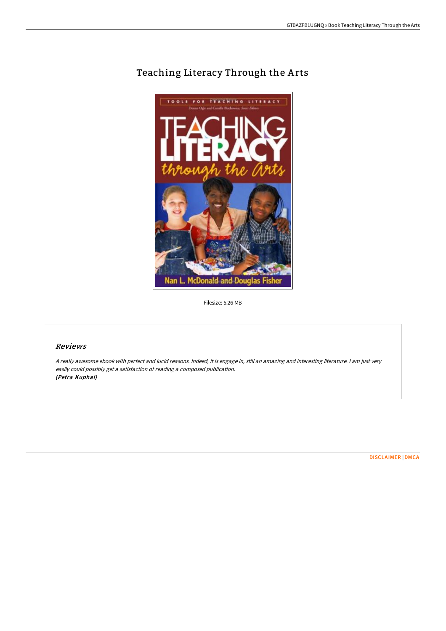

## Teaching Literacy Through the Arts

Filesize: 5.26 MB

## Reviews

<sup>A</sup> really awesome ebook with perfect and lucid reasons. Indeed, it is engage in, still an amazing and interesting literature. <sup>I</sup> am just very easily could possibly get <sup>a</sup> satisfaction of reading <sup>a</sup> composed publication. (Petra Kuphal)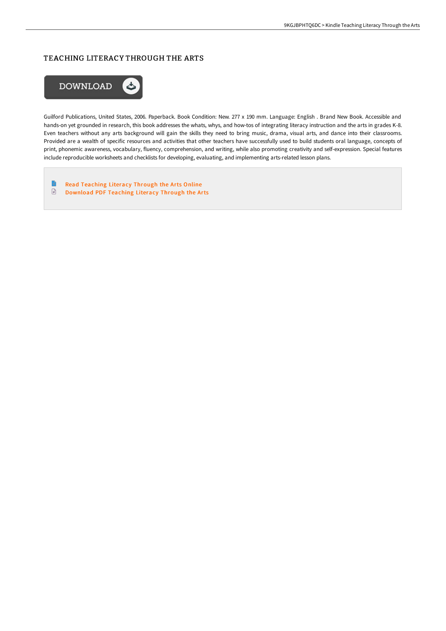## TEACHING LITERACY THROUGH THE ARTS



Guilford Publications, United States, 2006. Paperback. Book Condition: New. 277 x 190 mm. Language: English . Brand New Book. Accessible and hands-on yet grounded in research, this book addresses the whats, whys, and how-tos of integrating literacy instruction and the arts in grades K-8. Even teachers without any arts background will gain the skills they need to bring music, drama, visual arts, and dance into their classrooms. Provided are a wealth of specific resources and activities that other teachers have successfully used to build students oral language, concepts of print, phonemic awareness, vocabulary, fluency, comprehension, and writing, while also promoting creativity and self-expression. Special features include reproducible worksheets and checklists for developing, evaluating, and implementing arts-related lesson plans.

 $\blacksquare$ Read [Teaching](http://techno-pub.tech/teaching-literacy-through-the-arts-paperback.html) Literacy Through the Arts Online  $\mathbf{r}$ [Download](http://techno-pub.tech/teaching-literacy-through-the-arts-paperback.html) PDF Teaching Literacy Through the Arts